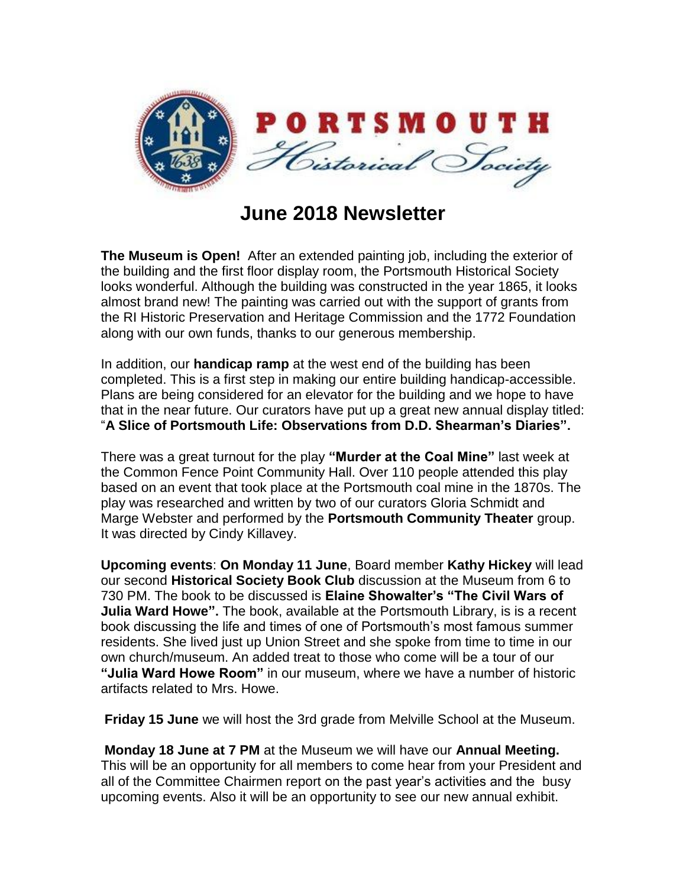

## **June 2018 Newsletter**

**The Museum is Open!** After an extended painting job, including the exterior of the building and the first floor display room, the Portsmouth Historical Society looks wonderful. Although the building was constructed in the year 1865, it looks almost brand new! The painting was carried out with the support of grants from the RI Historic Preservation and Heritage Commission and the 1772 Foundation along with our own funds, thanks to our generous membership.

In addition, our **handicap ramp** at the west end of the building has been completed. This is a first step in making our entire building handicap-accessible. Plans are being considered for an elevator for the building and we hope to have that in the near future. Our curators have put up a great new annual display titled: "**A Slice of Portsmouth Life: Observations from D.D. Shearman's Diaries".**

There was a great turnout for the play **"Murder at the Coal Mine"** last week at the Common Fence Point Community Hall. Over 110 people attended this play based on an event that took place at the Portsmouth coal mine in the 1870s. The play was researched and written by two of our curators Gloria Schmidt and Marge Webster and performed by the **Portsmouth Community Theater** group. It was directed by Cindy Killavey.

**Upcoming events**: **On Monday 11 June**, Board member **Kathy Hickey** will lead our second **Historical Society Book Club** discussion at the Museum from 6 to 730 PM. The book to be discussed is **Elaine Showalter's "The Civil Wars of Julia Ward Howe".** The book, available at the Portsmouth Library, is is a recent book discussing the life and times of one of Portsmouth's most famous summer residents. She lived just up Union Street and she spoke from time to time in our own church/museum. An added treat to those who come will be a tour of our **"Julia Ward Howe Room"** in our museum, where we have a number of historic artifacts related to Mrs. Howe.

**Friday 15 June** we will host the 3rd grade from Melville School at the Museum.

**Monday 18 June at 7 PM** at the Museum we will have our **Annual Meeting.** This will be an opportunity for all members to come hear from your President and all of the Committee Chairmen report on the past year's activities and the busy upcoming events. Also it will be an opportunity to see our new annual exhibit.